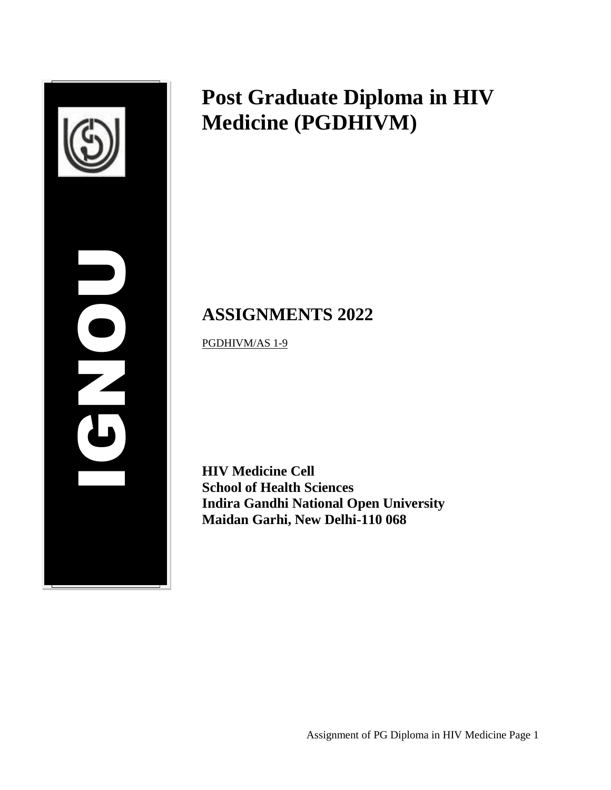

# **Post Graduate Diploma in HIV Medicine (PGDHIVM)**

# **ASSIGNMENTS 2022**

PGDHIVM/AS 1-9

**HIV Medicine Cell School of Health Sciences Indira Gandhi National Open University Maidan Garhi, New Delhi-110 068**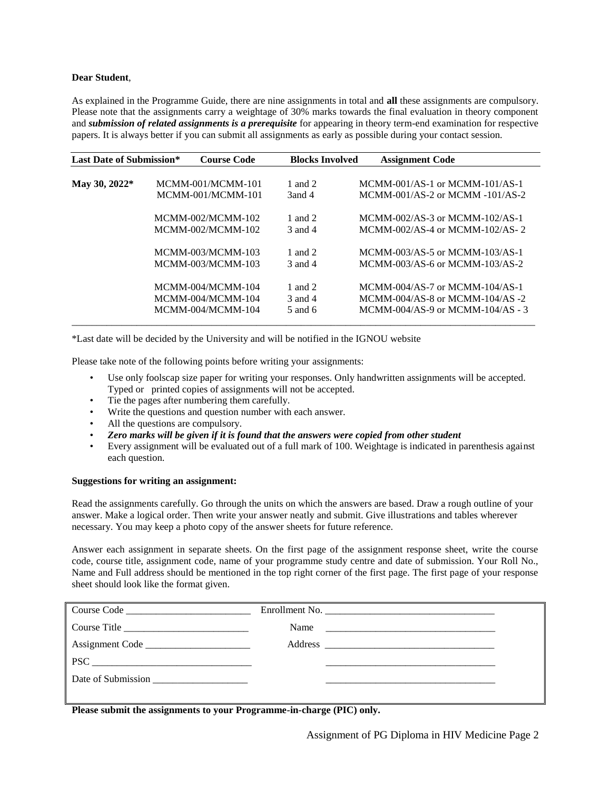#### **Dear Student**,

As explained in the Programme Guide, there are nine assignments in total and **all** these assignments are compulsory. Please note that the assignments carry a weightage of 30% marks towards the final evaluation in theory component and *submission of related assignments is a prerequisite* for appearing in theory term-end examination for respective papers. It is always better if you can submit all assignments as early as possible during your contact session.

| <b>Last Date of Submission*</b> | <b>Course Code</b> | <b>Blocks Involved</b> | <b>Assignment Code</b>              |
|---------------------------------|--------------------|------------------------|-------------------------------------|
|                                 |                    |                        |                                     |
| May 30, 2022*                   | MCMM-001/MCMM-101  | 1 and 2                | $MCMM-001/AS-1$ or $MCMM-101/AS-1$  |
|                                 | MCMM-001/MCMM-101  | 3and 4                 | $MCMM-001/AS-2$ or $MCMM -101/AS-2$ |
|                                 | MCMM-002/MCMM-102  | 1 and 2                | MCMM-002/AS-3 or MCMM-102/AS-1      |
|                                 | MCMM-002/MCMM-102  | $3$ and $4$            | MCMM-002/AS-4 or MCMM-102/AS-2      |
|                                 | MCMM-003/MCMM-103  | 1 and 2                | MCMM-003/AS-5 or MCMM-103/AS-1      |
|                                 | MCMM-003/MCMM-103  | 3 and 4                | MCMM-003/AS-6 or MCMM-103/AS-2      |
|                                 | MCMM-004/MCMM-104  | 1 and 2                | MCMM-004/AS-7 or MCMM-104/AS-1      |
|                                 | MCMM-004/MCMM-104  | 3 and 4                | MCMM-004/AS-8 or MCMM-104/AS-2      |
|                                 | MCMM-004/MCMM-104  | $5$ and $6$            | MCMM-004/AS-9 or MCMM-104/AS - 3    |

\*Last date will be decided by the University and will be notified in the IGNOU website

Please take note of the following points before writing your assignments:

- Use only foolscap size paper for writing your responses. Only handwritten assignments will be accepted. Typed or printed copies of assignments will not be accepted.
- Tie the pages after numbering them carefully.
- Write the questions and question number with each answer.
- All the questions are compulsory.
- *Zero marks will be given if it is found that the answers were copied from other student*
- Every assignment will be evaluated out of a full mark of 100. Weightage is indicated in parenthesis against each question.

#### **Suggestions for writing an assignment:**

Read the assignments carefully. Go through the units on which the answers are based. Draw a rough outline of your answer. Make a logical order. Then write your answer neatly and submit. Give illustrations and tables wherever necessary. You may keep a photo copy of the answer sheets for future reference.

Answer each assignment in separate sheets. On the first page of the assignment response sheet, write the course code, course title, assignment code, name of your programme study centre and date of submission. Your Roll No., Name and Full address should be mentioned in the top right corner of the first page. The first page of your response sheet should look like the format given.

| Name $\frac{1}{\sqrt{1-\frac{1}{2}}}\left\{ \frac{1}{2} + \frac{1}{2} \left( \frac{1}{2} + \frac{1}{2} \left( \frac{1}{2} + \frac{1}{2} \left( \frac{1}{2} + \frac{1}{2} \left( \frac{1}{2} + \frac{1}{2} \left( \frac{1}{2} + \frac{1}{2} \left( \frac{1}{2} + \frac{1}{2} \left( \frac{1}{2} + \frac{1}{2} \left( \frac{1}{2} + \frac{1}{2} \left( \frac{1}{2} + \frac{1}{2} \left( \frac{1}{2} + \frac{1}{2}$ |  |
|------------------------------------------------------------------------------------------------------------------------------------------------------------------------------------------------------------------------------------------------------------------------------------------------------------------------------------------------------------------------------------------------------------------|--|
|                                                                                                                                                                                                                                                                                                                                                                                                                  |  |
|                                                                                                                                                                                                                                                                                                                                                                                                                  |  |
|                                                                                                                                                                                                                                                                                                                                                                                                                  |  |
|                                                                                                                                                                                                                                                                                                                                                                                                                  |  |

**Please submit the assignments to your Programme-in-charge (PIC) only.**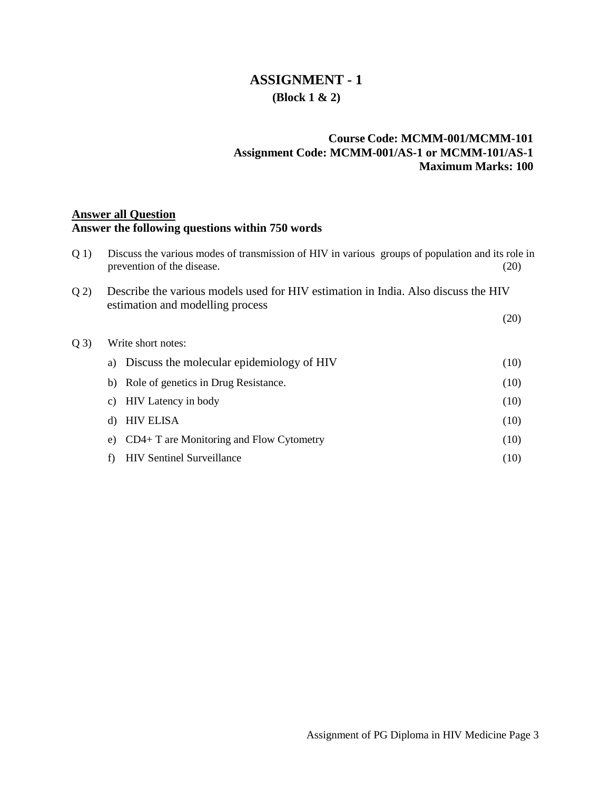### **ASSIGNMENT - 1 (Block 1 & 2)**

### **Course Code: MCMM-001/MCMM-101 Assignment Code: MCMM-001/AS-1 or MCMM-101/AS-1 Maximum Marks: 100**

#### **Answer all Question**

#### **Answer the following questions within 750 words**

| Q(1) | Discuss the various modes of transmission of HIV in various groups of population and its role in<br>prevention of the disease. | (20) |
|------|--------------------------------------------------------------------------------------------------------------------------------|------|
| Q(2) | Describe the various models used for HIV estimation in India. Also discuss the HIV<br>estimation and modelling process         |      |
|      |                                                                                                                                | (20) |
| Q(3) | Write short notes:                                                                                                             |      |
|      | Discuss the molecular epidemiology of HIV<br>a)                                                                                | (10) |
|      | Role of genetics in Drug Resistance.<br>b)                                                                                     | (10) |
|      | <b>HIV</b> Latency in body<br>C)                                                                                               | (10) |
|      | <b>HIV ELISA</b><br>d)                                                                                                         | (10) |
|      | $CD4+T$ are Monitoring and Flow Cytometry<br>e)                                                                                | (10) |
|      | <b>HIV Sentinel Surveillance</b><br>f)                                                                                         | (10) |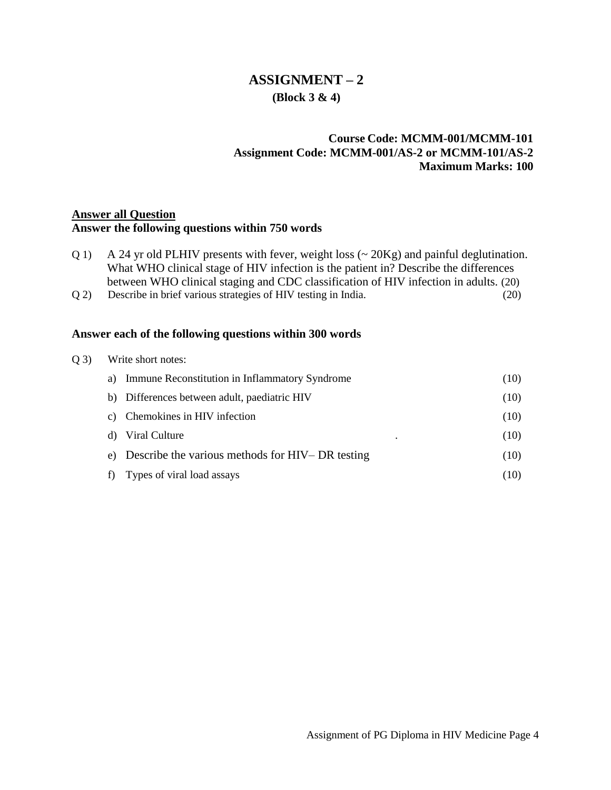### **ASSIGNMENT – 2 (Block 3 & 4)**

### **Course Code: MCMM-001/MCMM-101 Assignment Code: MCMM-001/AS-2 or MCMM-101/AS-2 Maximum Marks: 100**

### **Answer all Question**

### **Answer the following questions within 750 words**

- Q 1) A 24 yr old PLHIV presents with fever, weight loss (~ 20Kg) and painful deglutination. What WHO clinical stage of HIV infection is the patient in? Describe the differences between WHO clinical staging and CDC classification of HIV infection in adults. (20)
- Q 2) Describe in brief various strategies of HIV testing in India. (20)

| O(3) | Write short notes:                                     |      |  |  |
|------|--------------------------------------------------------|------|--|--|
|      | Immune Reconstitution in Inflammatory Syndrome<br>a)   | (10) |  |  |
|      | b) Differences between adult, paediatric HIV           | (10) |  |  |
|      | Chemokines in HIV infection<br>C)                      | (10) |  |  |
|      | Viral Culture<br>d)<br>$\bullet$                       | (10) |  |  |
|      | Describe the various methods for HIV– DR testing<br>e) | (10) |  |  |
|      | Types of viral load assays                             | (10) |  |  |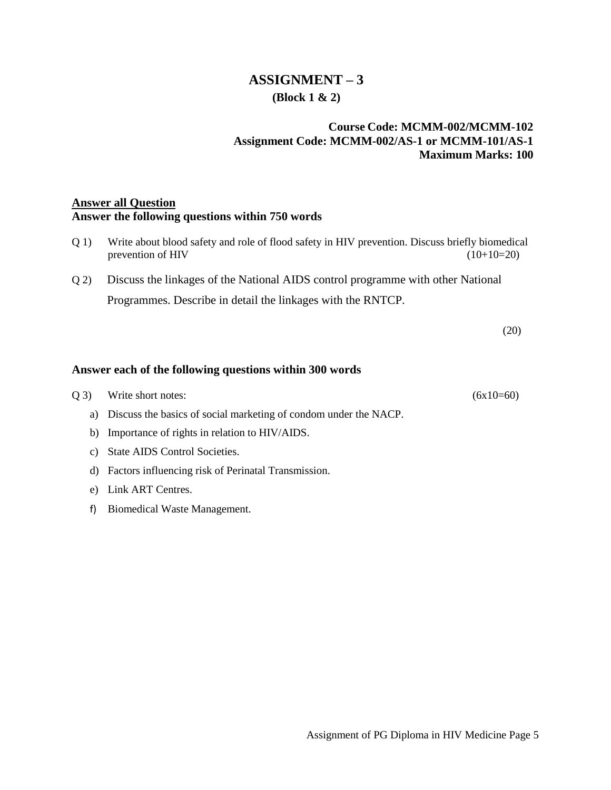### **ASSIGNMENT – 3 (Block 1 & 2)**

### **Course Code: MCMM-002/MCMM-102 Assignment Code: MCMM-002/AS-1 or MCMM-101/AS-1 Maximum Marks: 100**

### **Answer all Question Answer the following questions within 750 words**

- Q 1) Write about blood safety and role of flood safety in HIV prevention. Discuss briefly biomedical prevention of HIV  $(10+10=20)$
- Q 2) Discuss the linkages of the National AIDS control programme with other National Programmes. Describe in detail the linkages with the RNTCP.

(20)

| (03) | Write short notes:                                                  | $(6x10=60)$ |
|------|---------------------------------------------------------------------|-------------|
|      | a) Discuss the basics of social marketing of condom under the NACP. |             |
|      | b) Importance of rights in relation to HIV/AIDS.                    |             |

- c) State AIDS Control Societies.
- d) Factors influencing risk of Perinatal Transmission.
- e) Link ART Centres.
- f) Biomedical Waste Management.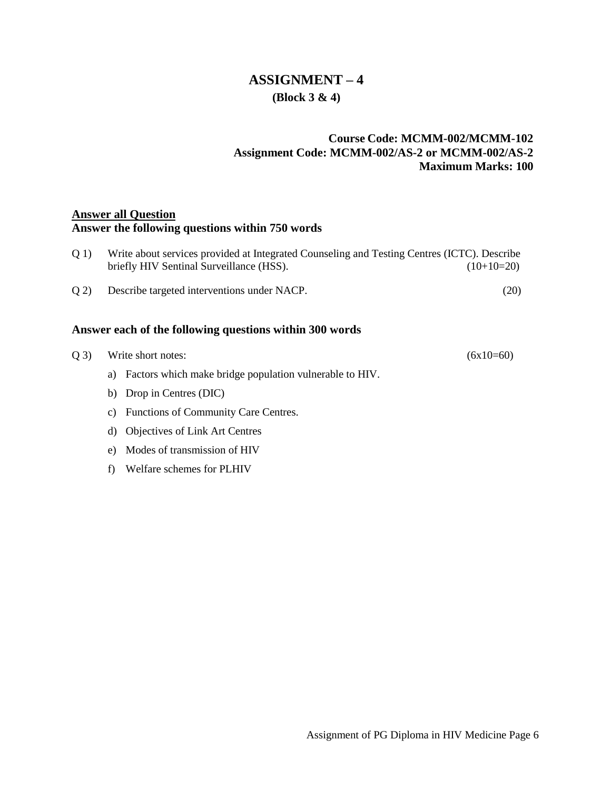### **ASSIGNMENT – 4 (Block 3 & 4)**

### **Course Code: MCMM-002/MCMM-102 Assignment Code: MCMM-002/AS-2 or MCMM-002/AS-2 Maximum Marks: 100**

### **Answer all Question**

### **Answer the following questions within 750 words**

|      | Answer each of the following questions within 300 words                                                                                 |              |
|------|-----------------------------------------------------------------------------------------------------------------------------------------|--------------|
| O(2) | Describe targeted interventions under NACP.                                                                                             | (20)         |
| O(1) | Write about services provided at Integrated Counseling and Testing Centres (ICTC). Describe<br>briefly HIV Sentinal Surveillance (HSS). | $(10+10=20)$ |

# $Q$  3) Write short notes: (6x10=60) a) Factors which make bridge population vulnerable to HIV. b) Drop in Centres (DIC)

- c) Functions of Community Care Centres.
- d) Objectives of Link Art Centres
- e) Modes of transmission of HIV
- f) Welfare schemes for PLHIV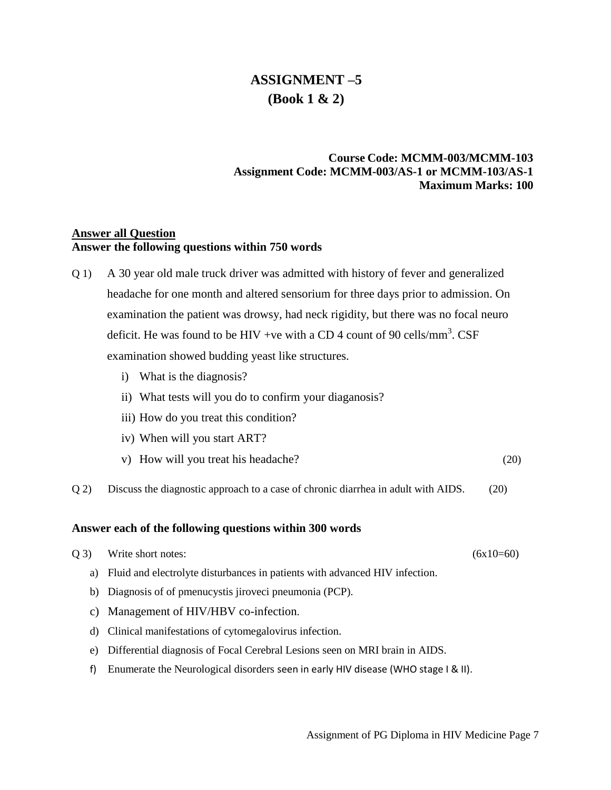### **ASSIGNMENT –5 (Book 1 & 2)**

### **Course Code: MCMM-003/MCMM-103 Assignment Code: MCMM-003/AS-1 or MCMM-103/AS-1 Maximum Marks: 100**

### **Answer all Question Answer the following questions within 750 words**

- Q 1) A 30 year old male truck driver was admitted with history of fever and generalized headache for one month and altered sensorium for three days prior to admission. On examination the patient was drowsy, had neck rigidity, but there was no focal neuro deficit. He was found to be HIV +ve with a CD 4 count of 90 cells/mm<sup>3</sup>. CSF examination showed budding yeast like structures.
	- i) What is the diagnosis?
	- ii) What tests will you do to confirm your diaganosis?
	- iii) How do you treat this condition?
	- iv) When will you start ART?
	- v) How will you treat his headache? (20)
- Q 2) Discuss the diagnostic approach to a case of chronic diarrhea in adult with AIDS. (20)

- $Q$  3) Write short notes: (6x10=60) a) Fluid and electrolyte disturbances in patients with advanced HIV infection. b) Diagnosis of of pmenucystis jiroveci pneumonia (PCP).
	- c) Management of HIV/HBV co-infection.
	- d) Clinical manifestations of cytomegalovirus infection.
	- e) Differential diagnosis of Focal Cerebral Lesions seen on MRI brain in AIDS.
	- f) Enumerate the Neurological disorders seen in early HIV disease (WHO stage I & II).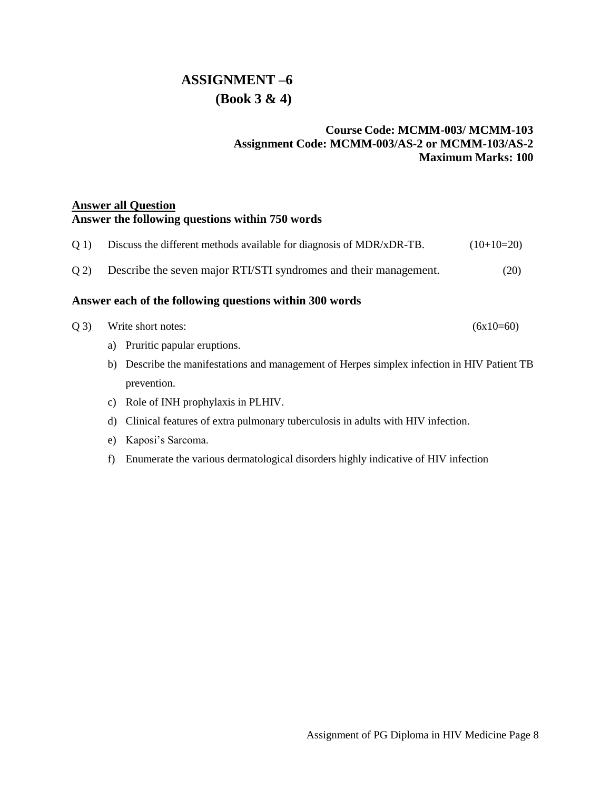# **ASSIGNMENT –6 (Book 3 & 4)**

### **Course Code: MCMM-003/ MCMM-103 Assignment Code: MCMM-003/AS-2 or MCMM-103/AS-2 Maximum Marks: 100**

### **Answer all Question Answer the following questions within 750 words**

| Q 1) | Discuss the different methods available for diagnosis of MDR/xDR-TB. | $(10+10=20)$ |
|------|----------------------------------------------------------------------|--------------|
| Q(2) | Describe the seven major RTI/STI syndromes and their management.     | (20)         |

| Q 3) Write short notes: | $(6x10=60)$ |
|-------------------------|-------------|
|                         |             |

- a) Pruritic papular [eruptions.](https://www.google.com/search?safe=active&q=Pruritic+papular+eruptions&spell=1&sa=X&ved=0ahUKEwjO7cHGrcrhAhVbiHAKHUB9CtMQkeECCCooAA)
- b) Describe the manifestations and management of Herpes simplex infection in HIV Patient TB prevention.
- c) Role of INH prophylaxis in PLHIV.
- d) Clinical features of extra pulmonary tuberculosis in adults with HIV infection.
- e) Kaposi's Sarcoma.
- f) Enumerate the various dermatological disorders highly indicative of HIV infection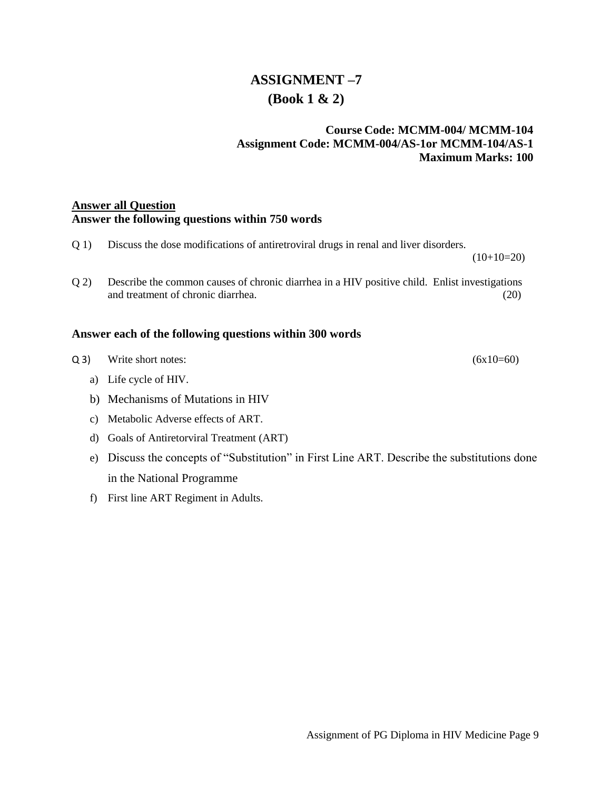# **ASSIGNMENT –7 (Book 1 & 2)**

### **Course Code: MCMM-004/ MCMM-104 Assignment Code: MCMM-004/AS-1or MCMM-104/AS-1 Maximum Marks: 100**

### **Answer all Question Answer the following questions within 750 words**

| Q(1)  | Discuss the dose modifications of antiretroviral drugs in renal and liver disorders.<br>$(10+10=20)$                                |             |
|-------|-------------------------------------------------------------------------------------------------------------------------------------|-------------|
|       |                                                                                                                                     |             |
| Q(2)  | Describe the common causes of chronic diarrhea in a HIV positive child. Enlist investigations<br>and treatment of chronic diarrhea. | (20)        |
|       | Answer each of the following questions within 300 words                                                                             |             |
| $Q_3$ | Write short notes:                                                                                                                  | $(6x10=60)$ |
| a)    | Life cycle of HIV.                                                                                                                  |             |
|       | b) Mechanisms of Mutations in HIV                                                                                                   |             |
| C)    | Metabolic Adverse effects of ART.                                                                                                   |             |
| d)    | Goals of Antiretorviral Treatment (ART)                                                                                             |             |
| e)    | Discuss the concepts of "Substitution" in First Line ART. Describe the substitutions done                                           |             |
|       | in the National Programme                                                                                                           |             |

f) First line ART Regiment in Adults.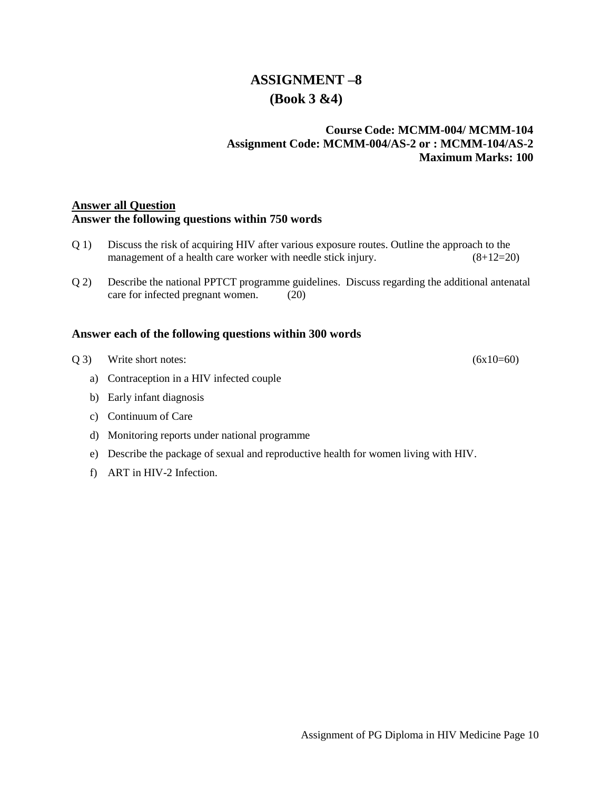### **ASSIGNMENT –8 (Book 3 &4)**

### **Course Code: MCMM-004/ MCMM-104 Assignment Code: MCMM-004/AS-2 or : MCMM-104/AS-2 Maximum Marks: 100**

### **Answer all Question Answer the following questions within 750 words**

- Q 1) Discuss the risk of acquiring HIV after various exposure routes. Outline the approach to the management of a health care worker with needle stick injury. (8+12=20)
- Q 2) Describe the national PPTCT programme guidelines. Discuss regarding the additional antenatal care for infected pregnant women. (20)

- $Q$  3) Write short notes: (6x10=60)
	- a) Contraception in a HIV infected couple
	- b) Early infant diagnosis
	- c) Continuum of Care
	- d) Monitoring reports under national programme
	- e) Describe the package of sexual and reproductive health for women living with HIV.
	- f) ART in HIV-2 Infection.